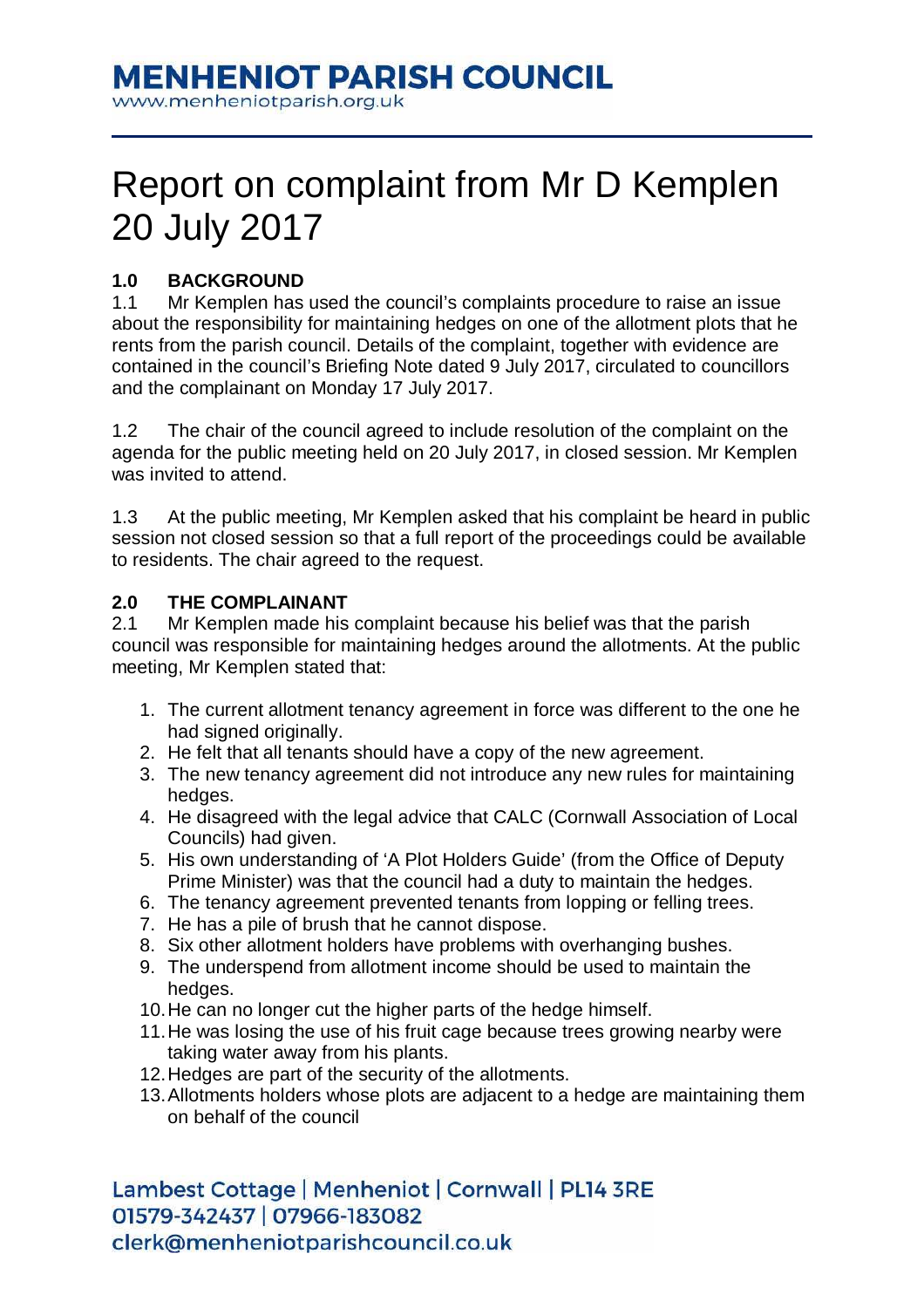## **MENHENIOT PARISH COUNCIL**

www.menheniotparish.org.uk

# Report on complaint from Mr D Kemplen 20 July 2017

### **1.0 BACKGROUND**

1.1 Mr Kemplen has used the council's complaints procedure to raise an issue about the responsibility for maintaining hedges on one of the allotment plots that he rents from the parish council. Details of the complaint, together with evidence are contained in the council's Briefing Note dated 9 July 2017, circulated to councillors and the complainant on Monday 17 July 2017.

1.2 The chair of the council agreed to include resolution of the complaint on the agenda for the public meeting held on 20 July 2017, in closed session. Mr Kemplen was invited to attend.

1.3 At the public meeting, Mr Kemplen asked that his complaint be heard in public session not closed session so that a full report of the proceedings could be available to residents. The chair agreed to the request.

#### **2.0 THE COMPLAINANT**

2.1 Mr Kemplen made his complaint because his belief was that the parish council was responsible for maintaining hedges around the allotments. At the public meeting, Mr Kemplen stated that:

- 1. The current allotment tenancy agreement in force was different to the one he had signed originally.
- 2. He felt that all tenants should have a copy of the new agreement.
- 3. The new tenancy agreement did not introduce any new rules for maintaining hedges.
- 4. He disagreed with the legal advice that CALC (Cornwall Association of Local Councils) had given.
- 5. His own understanding of 'A Plot Holders Guide' (from the Office of Deputy Prime Minister) was that the council had a duty to maintain the hedges.
- 6. The tenancy agreement prevented tenants from lopping or felling trees.
- 7. He has a pile of brush that he cannot dispose.
- 8. Six other allotment holders have problems with overhanging bushes.
- 9. The underspend from allotment income should be used to maintain the hedges.
- 10. He can no longer cut the higher parts of the hedge himself.
- 11. He was losing the use of his fruit cage because trees growing nearby were taking water away from his plants.
- 12. Hedges are part of the security of the allotments.
- 13. Allotments holders whose plots are adjacent to a hedge are maintaining them on behalf of the council

Lambest Cottage | Menheniot | Cornwall | PL14 3RE 01579-342437 | 07966-183082 clerk@menheniotparishcouncil.co.uk